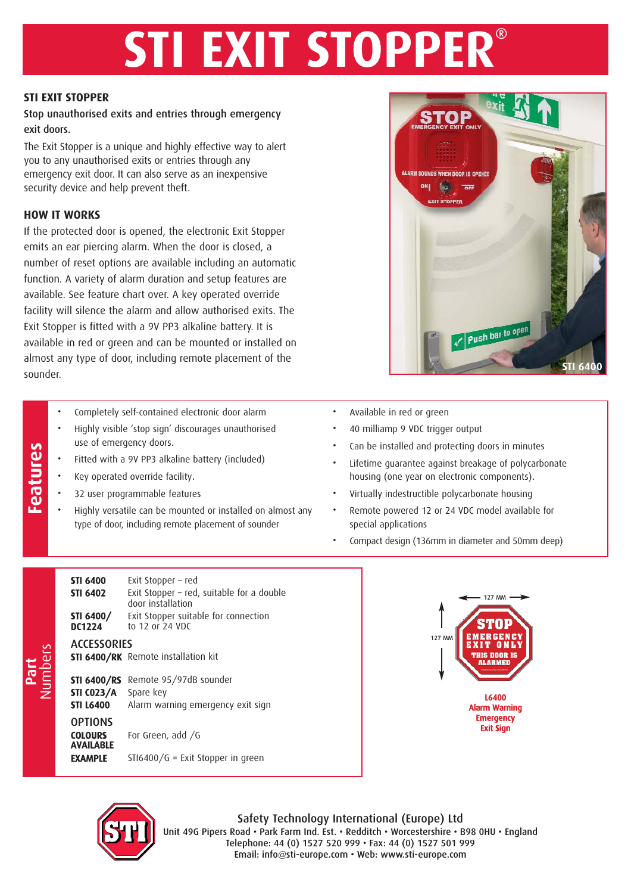# **STI EXIT STOPPER®**

#### **STI EXIT STOPPER**

## Stop unauthorised exits and entries through emergency exit doors.

The Exit Stopper is a unique and highly effective way to alert you to any unauthorised exits or entries through any emergency exit door. It can also serve as an inexpensive security device and help prevent theft.

#### **HOW IT WORKS**

If the protected door is opened, the electronic Exit Stopper emits an ear piercing alarm. When the door is closed, a number of reset options are available including an automatic function. A variety of alarm duration and setup features are available. See feature chart over. A key operated override facility will silence the alarm and allow authorised exits. The Exit Stopper is fitted with a 9V PP3 alkaline battery. It is available in red or green and can be mounted or installed on almost any type of door, including remote placement of the sounder.

- 
- Features Completely self-contained electronic door alarm<br>
Highly visible 'stop sign' discourages unauthoris<br>
Fitted with a 9V PP3 alkaline battery (included)<br>
Key operated override facility.<br>
32 user programmable • Highly visible 'stop sign' discourages unauthorised use of emergency doors.
	- Fitted with a 9V PP3 alkaline battery (included)
	- Key operated override facility.
	- 32 user programmable features
	- Highly versatile can be mounted or installed on almost any type of door, including remote placement of sounder



- Available in red or green
- 40 milliamp 9 VDC trigger output
- Can be installed and protecting doors in minutes
- Lifetime guarantee against breakage of polycarbonate housing (one year on electronic components).
- Virtually indestructible polycarbonate housing
- Remote powered 12 or 24 VDC model available for special applications
- Compact design (136mm in diameter and 50mm deep)

| <b>STI 6400</b><br><b>STI 6402</b>                          | Exit Stopper - red<br>Exit Stopper - red, suitable for a double<br>door installation |
|-------------------------------------------------------------|--------------------------------------------------------------------------------------|
| STI 6400/<br><b>DC1224</b>                                  | Exit Stopper suitable for connection<br>to 12 or 24 VDC                              |
| <b>ACCESSORIES</b>                                          | <b>STI 6400/RK</b> Remote installation kit                                           |
| <b>STI 6400/RS</b><br><b>STI CO23/A</b><br><b>STI L6400</b> | Remote 95/97dB sounder<br>Spare key<br>Alarm warning emergency exit sign             |
| <b>OPTIONS</b><br><b>COLOURS</b><br><b>AVAILABLE</b>        | For Green, add /G                                                                    |
| <b>EXAMPLE</b>                                              | $STI6400/G = Exit Stopper in green$                                                  |





Safety Technology International (Europe) Ltd Unit 49G Pipers Road • Park Farm Ind. Est. • Redditch • Worcestershire • B98 0HU • England Telephone: 44 (0) 1527 520 999 • Fax: 44 (0) 1527 501 999 Email: info@sti-europe.com • Web: www.sti-europe.com

**Part** Numbers